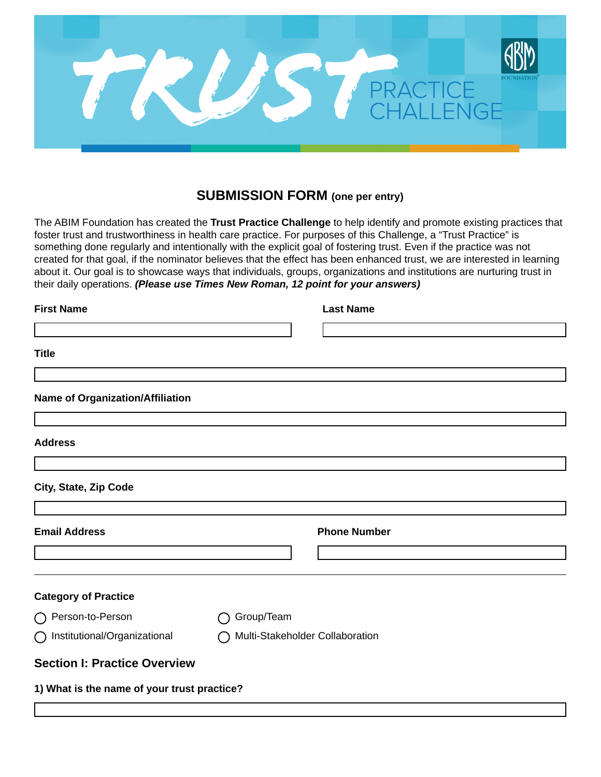

## **SUBMISSION FORM (one per entry)**

The ABIM Foundation has created the **Trust Practice Challenge** to help identify and promote existing practices that foster trust and trustworthiness in health care practice. For purposes of this Challenge, a "Trust Practice" is something done regularly and intentionally with the explicit goal of fostering trust. Even if the practice was not created for that goal, if the nominator believes that the effect has been enhanced trust, we are interested in learning about it. Our goal is to showcase ways that individuals, groups, organizations and institutions are nurturing trust in their daily operations. *(Please use Times New Roman, 12 point for your answers)*

| <b>First Name</b>                           |                                 |            | <b>Last Name</b>    |  |
|---------------------------------------------|---------------------------------|------------|---------------------|--|
|                                             |                                 |            |                     |  |
| <b>Title</b>                                |                                 |            |                     |  |
|                                             |                                 |            |                     |  |
| <b>Name of Organization/Affiliation</b>     |                                 |            |                     |  |
|                                             |                                 |            |                     |  |
| <b>Address</b>                              |                                 |            |                     |  |
|                                             |                                 |            |                     |  |
| City, State, Zip Code                       |                                 |            |                     |  |
|                                             |                                 |            |                     |  |
| <b>Email Address</b>                        |                                 |            | <b>Phone Number</b> |  |
|                                             |                                 |            |                     |  |
| <b>Category of Practice</b>                 |                                 |            |                     |  |
| ◯ Person-to-Person                          |                                 | Group/Team |                     |  |
| ◯ Institutional/Organizational              | Multi-Stakeholder Collaboration |            |                     |  |
| <b>Section I: Practice Overview</b>         |                                 |            |                     |  |
| 1) What is the name of your trust practice? |                                 |            |                     |  |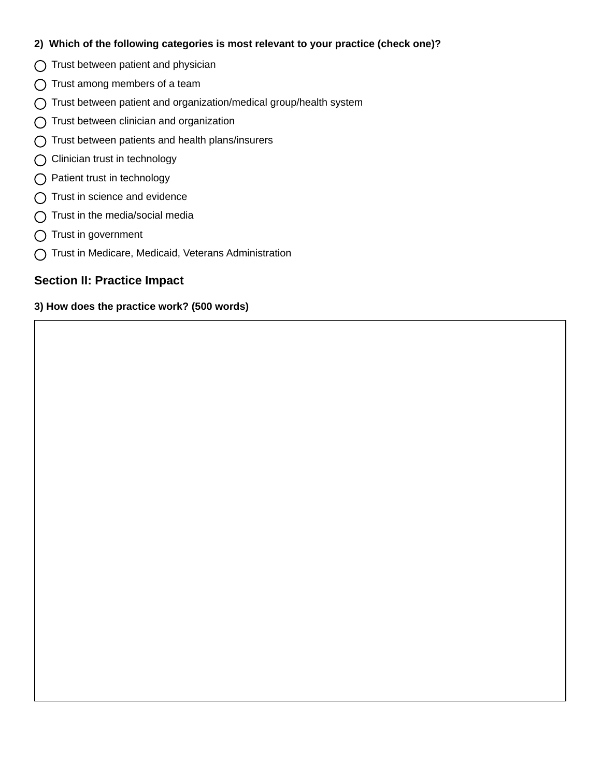## **2) Which of the following categories is most relevant to your practice (check one)?**

- $\bigcap$  Trust between patient and physician
- $\bigcap$  Trust among members of a team
- Trust between patient and organization/medical group/health system
- $\bigcap$  Trust between clinician and organization
- $\bigcap$  Trust between patients and health plans/insurers
- ◯ Clinician trust in technology
- ◯ Patient trust in technology
- $\bigcap$  Trust in science and evidence
- $\bigcap$  Trust in the media/social media
- $\bigcap$  Trust in government
- Trust in Medicare, Medicaid, Veterans Administration

## **Section II: Practice Impact**

## **3) How does the practice work? (500 words)**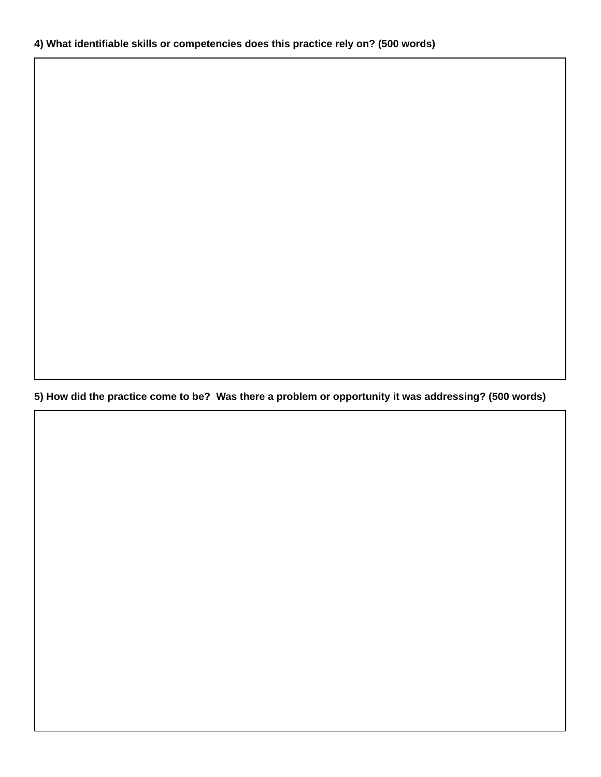**5) How did the practice come to be? Was there a problem or opportunity it was addressing? (500 words)**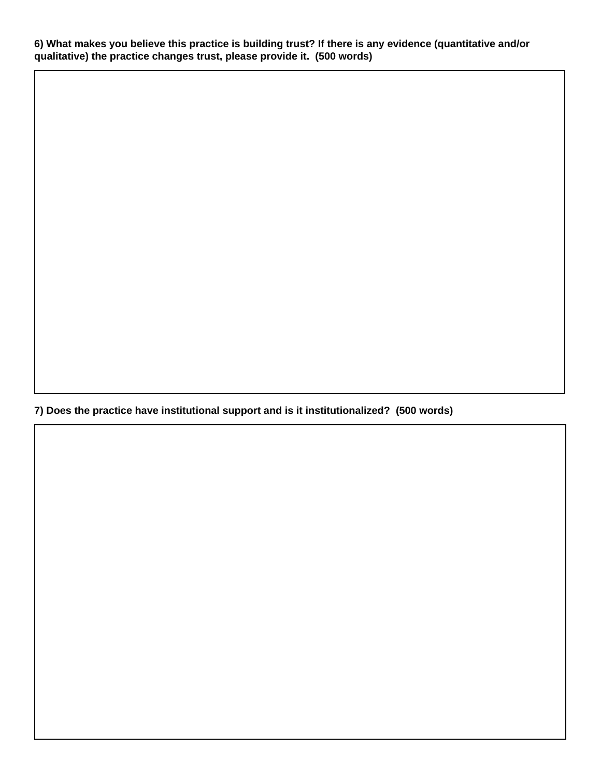**6) What makes you believe this practice is building trust? If there is any evidence (quantitative and/or qualitative) the practice changes trust, please provide it. (500 words)**

**7) Does the practice have institutional support and is it institutionalized? (500 words)**